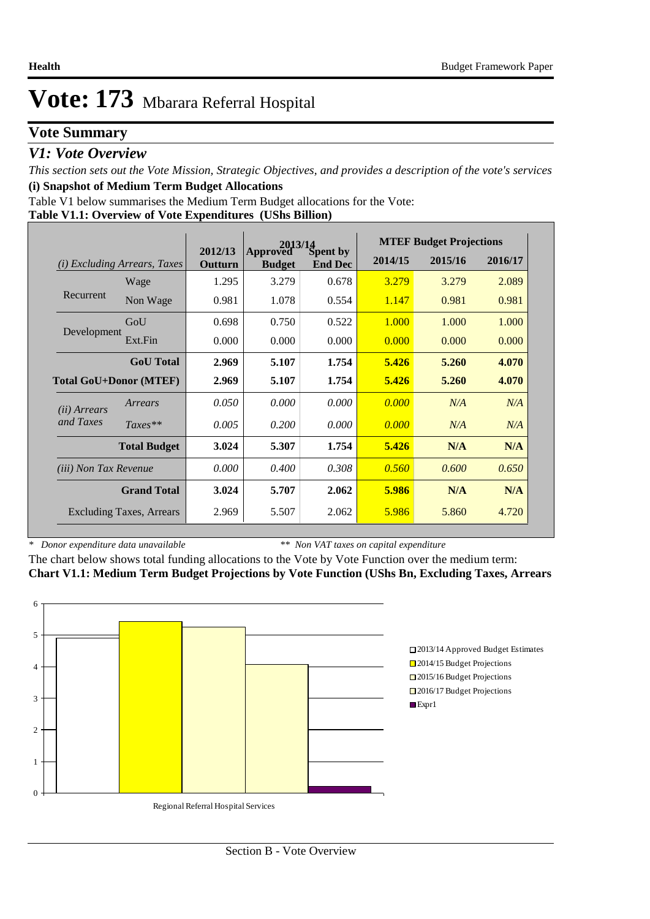## **Vote Summary**

## *V1: Vote Overview*

*This section sets out the Vote Mission, Strategic Objectives, and provides a description of the vote's services* **(i) Snapshot of Medium Term Budget Allocations** 

Table V1 below summarises the Medium Term Budget allocations for the Vote:

### **Table V1.1: Overview of Vote Expenditures (UShs Billion)**

|                               |                                 |                    | Approved Spent by |                |         | <b>MTEF Budget Projections</b> |         |
|-------------------------------|---------------------------------|--------------------|-------------------|----------------|---------|--------------------------------|---------|
| (i)                           | <b>Excluding Arrears, Taxes</b> | 2012/13<br>Outturn | <b>Budget</b>     | <b>End Dec</b> | 2014/15 | 2015/16                        | 2016/17 |
|                               | Wage                            | 1.295              | 3.279             | 0.678          | 3.279   | 3.279                          | 2.089   |
| Recurrent                     | Non Wage                        | 0.981              | 1.078             | 0.554          | 1.147   | 0.981                          | 0.981   |
|                               | GoU                             | 0.698              | 0.750             | 0.522          | 1.000   | 1.000                          | 1.000   |
| Development                   | Ext.Fin                         | 0.000              | 0.000             | 0.000          | 0.000   | 0.000                          | 0.000   |
|                               | <b>GoU</b> Total                | 2.969              | 5.107             | 1.754          | 5.426   | 5.260                          | 4.070   |
| <b>Total GoU+Donor (MTEF)</b> |                                 | 2.969              | 5.107             | 1.754          | 5.426   | 5.260                          | 4.070   |
| ( <i>ii</i> ) Arrears         | Arrears                         | 0.050              | 0.000             | 0.000          | 0.000   | N/A                            | N/A     |
| and Taxes                     | $Taxes**$                       | 0.005              | 0.200             | 0.000          | 0.000   | N/A                            | N/A     |
|                               | <b>Total Budget</b>             | 3.024              | 5.307             | 1.754          | 5.426   | N/A                            | N/A     |
| <i>(iii)</i> Non Tax Revenue  |                                 | 0.000              | 0.400             | 0.308          | 0.560   | 0.600                          | 0.650   |
|                               | <b>Grand Total</b>              | 3.024              | 5.707             | 2.062          | 5.986   | N/A                            | N/A     |
|                               | <b>Excluding Taxes, Arrears</b> | 2.969              | 5.507             | 2.062          | 5.986   | 5.860                          | 4.720   |

*\* Donor expenditure data unavailable*

*\*\* Non VAT taxes on capital expenditure*

The chart below shows total funding allocations to the Vote by Vote Function over the medium term: **Chart V1.1: Medium Term Budget Projections by Vote Function (UShs Bn, Excluding Taxes, Arrears**

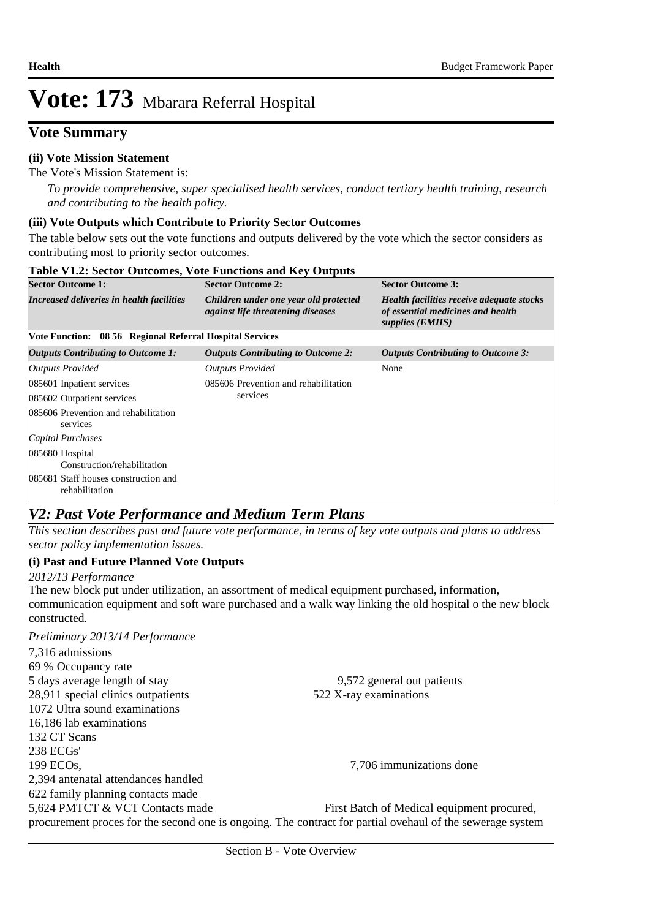## **Vote Summary**

### **(ii) Vote Mission Statement**

The Vote's Mission Statement is:

*To provide comprehensive, super specialised health services, conduct tertiary health training, research and contributing to the health policy.*

### **(iii) Vote Outputs which Contribute to Priority Sector Outcomes**

The table below sets out the vote functions and outputs delivered by the vote which the sector considers as contributing most to priority sector outcomes.

| <b>Table V1.2: Sector Outcomes, Vote Functions and Key Outputs</b> |                                                                                   |                                                                                                   |  |  |  |  |  |  |  |
|--------------------------------------------------------------------|-----------------------------------------------------------------------------------|---------------------------------------------------------------------------------------------------|--|--|--|--|--|--|--|
| <b>Sector Outcome 1:</b>                                           | <b>Sector Outcome 2:</b>                                                          | <b>Sector Outcome 3:</b>                                                                          |  |  |  |  |  |  |  |
| Increased deliveries in health facilities                          | Children under one year old protected<br><i>against life threatening diseases</i> | Health facilities receive adequate stocks<br>of essential medicines and health<br>supplies (EMHS) |  |  |  |  |  |  |  |
| Vote Function: 08 56 Regional Referral Hospital Services           |                                                                                   |                                                                                                   |  |  |  |  |  |  |  |
| <b>Outputs Contributing to Outcome 1:</b>                          | <b>Outputs Contributing to Outcome 2:</b>                                         | <b>Outputs Contributing to Outcome 3:</b>                                                         |  |  |  |  |  |  |  |
| Outputs Provided                                                   | <b>Outputs Provided</b>                                                           | None                                                                                              |  |  |  |  |  |  |  |
| 085601 Inpatient services                                          | 085606 Prevention and rehabilitation                                              |                                                                                                   |  |  |  |  |  |  |  |
| 085602 Outpatient services                                         | services                                                                          |                                                                                                   |  |  |  |  |  |  |  |
| 085606 Prevention and rehabilitation<br>services                   |                                                                                   |                                                                                                   |  |  |  |  |  |  |  |
| Capital Purchases                                                  |                                                                                   |                                                                                                   |  |  |  |  |  |  |  |
| 085680 Hospital<br>Construction/rehabilitation                     |                                                                                   |                                                                                                   |  |  |  |  |  |  |  |
| 085681 Staff houses construction and<br>rehabilitation             |                                                                                   |                                                                                                   |  |  |  |  |  |  |  |

## *V2: Past Vote Performance and Medium Term Plans*

*This section describes past and future vote performance, in terms of key vote outputs and plans to address sector policy implementation issues.* 

### **(i) Past and Future Planned Vote Outputs**

*2012/13 Performance*

The new block put under utilization, an assortment of medical equipment purchased, information, communication equipment and soft ware purchased and a walk way linking the old hospital o the new block constructed.

| Preliminary 2013/14 Performance                                                                           |                                            |
|-----------------------------------------------------------------------------------------------------------|--------------------------------------------|
| 7,316 admissions                                                                                          |                                            |
| 69 % Occupancy rate                                                                                       |                                            |
| 5 days average length of stay                                                                             | 9,572 general out patients                 |
| 28,911 special clinics outpatients                                                                        | 522 X-ray examinations                     |
| 1072 Ultra sound examinations                                                                             |                                            |
| 16,186 lab examinations                                                                                   |                                            |
| 132 CT Scans                                                                                              |                                            |
| 238 ECGs'                                                                                                 |                                            |
| 199 ECO <sub>s</sub> ,                                                                                    | 7,706 immunizations done                   |
| 2,394 antenatal attendances handled                                                                       |                                            |
| 622 family planning contacts made                                                                         |                                            |
| 5,624 PMTCT & VCT Contacts made                                                                           | First Batch of Medical equipment procured, |
| procurement proces for the second one is ongoing. The contract for partial ovehaul of the sewerage system |                                            |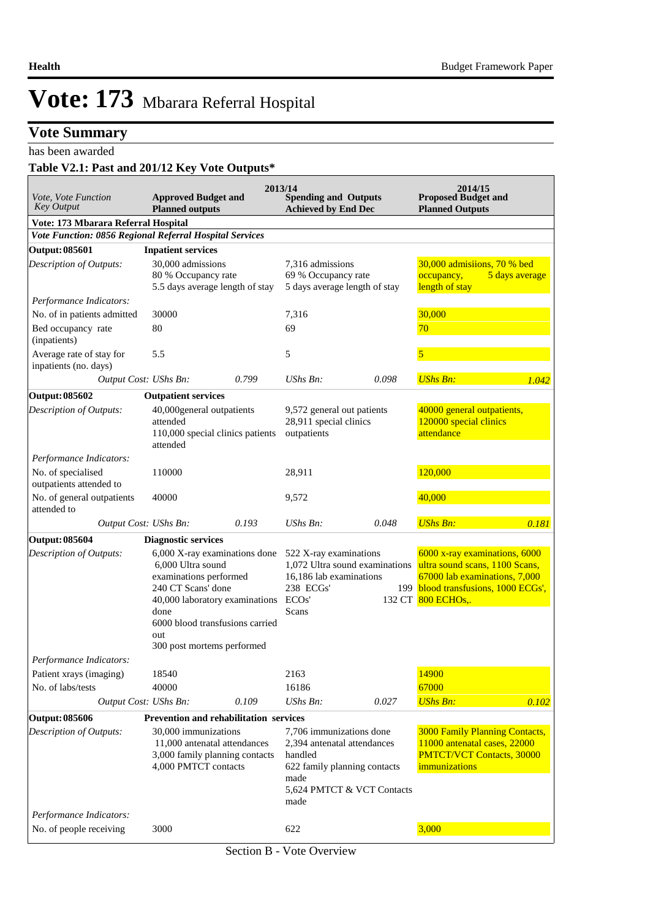## **Vote Summary**

has been awarded

## **Table V2.1: Past and 201/12 Key Vote Outputs\***

| Vote, Vote Function<br><b>Key Output</b>                | <b>Approved Budget and</b><br><b>Planned outputs</b>                                                                                                                                                                 |       | 2013/14<br><b>Spending and Outputs</b><br><b>Achieved by End Dec</b>                                                                             |       | 2014/15<br><b>Proposed Budget and</b><br><b>Planned Outputs</b>                                                                                               |                |
|---------------------------------------------------------|----------------------------------------------------------------------------------------------------------------------------------------------------------------------------------------------------------------------|-------|--------------------------------------------------------------------------------------------------------------------------------------------------|-------|---------------------------------------------------------------------------------------------------------------------------------------------------------------|----------------|
| Vote: 173 Mbarara Referral Hospital                     |                                                                                                                                                                                                                      |       |                                                                                                                                                  |       |                                                                                                                                                               |                |
| Vote Function: 0856 Regional Referral Hospital Services |                                                                                                                                                                                                                      |       |                                                                                                                                                  |       |                                                                                                                                                               |                |
| Output: 085601                                          | <b>Inpatient services</b>                                                                                                                                                                                            |       |                                                                                                                                                  |       |                                                                                                                                                               |                |
| Description of Outputs:                                 | 30,000 admissions<br>80 % Occupancy rate<br>5.5 days average length of stay                                                                                                                                          |       | 7,316 admissions<br>69 % Occupancy rate<br>5 days average length of stay                                                                         |       | 30,000 admisiions, 70 % bed<br>occupancy,<br>length of stay                                                                                                   | 5 days average |
| Performance Indicators:                                 |                                                                                                                                                                                                                      |       |                                                                                                                                                  |       |                                                                                                                                                               |                |
| No. of in patients admitted                             | 30000                                                                                                                                                                                                                |       | 7,316                                                                                                                                            |       | 30,000                                                                                                                                                        |                |
| Bed occupancy rate<br>(inpatients)                      | 80                                                                                                                                                                                                                   |       | 69                                                                                                                                               |       | 70                                                                                                                                                            |                |
| Average rate of stay for<br>inpatients (no. days)       | 5.5                                                                                                                                                                                                                  |       | 5                                                                                                                                                |       | 5                                                                                                                                                             |                |
|                                                         | Output Cost: UShs Bn:                                                                                                                                                                                                | 0.799 | <b>UShs Bn:</b>                                                                                                                                  | 0.098 | <b>UShs Bn:</b>                                                                                                                                               | 1.042          |
| <b>Output: 085602</b>                                   | <b>Outpatient services</b>                                                                                                                                                                                           |       |                                                                                                                                                  |       |                                                                                                                                                               |                |
| Description of Outputs:                                 | 40,000general outpatients<br>attended<br>110,000 special clinics patients<br>attended                                                                                                                                |       | 9,572 general out patients<br>28,911 special clinics<br>outpatients                                                                              |       | 40000 general outpatients,<br>120000 special clinics<br>attendance                                                                                            |                |
| Performance Indicators:                                 |                                                                                                                                                                                                                      |       |                                                                                                                                                  |       |                                                                                                                                                               |                |
| No. of specialised<br>outpatients attended to           | 110000                                                                                                                                                                                                               |       | 28,911                                                                                                                                           |       | 120,000                                                                                                                                                       |                |
| No. of general outpatients<br>attended to               | 40000                                                                                                                                                                                                                |       | 9,572                                                                                                                                            |       | 40,000                                                                                                                                                        |                |
|                                                         | Output Cost: UShs Bn:                                                                                                                                                                                                | 0.193 | <b>UShs Bn:</b>                                                                                                                                  | 0.048 | <b>UShs Bn:</b>                                                                                                                                               | 0.181          |
| <b>Output: 085604</b>                                   | <b>Diagnostic services</b>                                                                                                                                                                                           |       |                                                                                                                                                  |       |                                                                                                                                                               |                |
| Description of Outputs:                                 | 6,000 X-ray examinations done<br>6,000 Ultra sound<br>examinations performed<br>240 CT Scans' done<br>40,000 laboratory examinations<br>done<br>6000 blood transfusions carried<br>out<br>300 post mortems performed |       | 522 X-ray examinations<br>1,072 Ultra sound examinations<br>16,186 lab examinations<br>238 ECGs'<br>ECO <sub>s</sub> '<br>Scans                  |       | 6000 x-ray examinations, 6000<br>ultra sound scans, 1100 Scans,<br>67000 lab examinations, 7,000<br>199 blood transfusions, 1000 ECGs',<br>132 CT 800 ECHOs,. |                |
| Performance Indicators:                                 |                                                                                                                                                                                                                      |       |                                                                                                                                                  |       |                                                                                                                                                               |                |
| Patient xrays (imaging)                                 | 18540                                                                                                                                                                                                                |       | 2163                                                                                                                                             |       | 14900                                                                                                                                                         |                |
| No. of labs/tests                                       | 40000                                                                                                                                                                                                                |       | 16186                                                                                                                                            |       | 67000                                                                                                                                                         |                |
|                                                         | Output Cost: UShs Bn:                                                                                                                                                                                                | 0.109 | UShs Bn:                                                                                                                                         | 0.027 | <b>UShs Bn:</b>                                                                                                                                               | 0.102          |
| <b>Output: 085606</b>                                   | Prevention and rehabilitation services                                                                                                                                                                               |       |                                                                                                                                                  |       |                                                                                                                                                               |                |
| Description of Outputs:                                 | 30,000 immunizations<br>11,000 antenatal attendances<br>3,000 family planning contacts<br>4,000 PMTCT contacts                                                                                                       |       | 7,706 immunizations done<br>2,394 antenatal attendances<br>handled<br>622 family planning contacts<br>made<br>5,624 PMTCT & VCT Contacts<br>made |       | <b>3000 Family Planning Contacts,</b><br>11000 antenatal cases, 22000<br><b>PMTCT/VCT Contacts, 30000</b><br>immunizations                                    |                |
| Performance Indicators:                                 |                                                                                                                                                                                                                      |       |                                                                                                                                                  |       |                                                                                                                                                               |                |
| No. of people receiving                                 | 3000                                                                                                                                                                                                                 |       | 622                                                                                                                                              |       | 3,000                                                                                                                                                         |                |

Section B - Vote Overview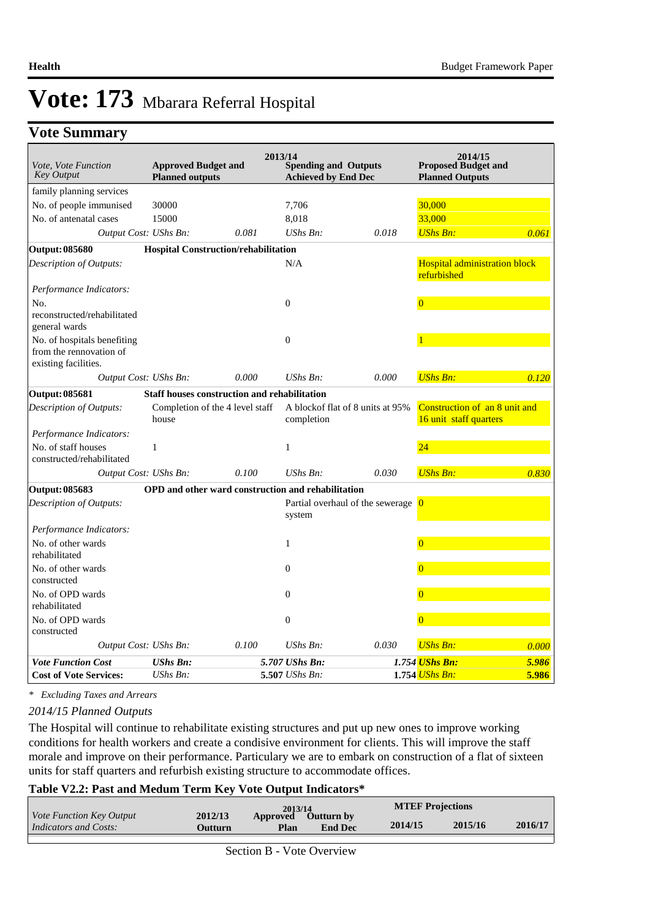## **Vote Summary**

| Vote, Vote Function<br><b>Key Output</b>                                       | <b>Approved Budget and</b><br><b>Planned outputs</b> |                                                     | 2013/14<br><b>Spending and Outputs</b><br><b>Achieved by End Dec</b> |                                                 | 2014/15<br><b>Proposed Budget and</b><br><b>Planned Outputs</b> |       |
|--------------------------------------------------------------------------------|------------------------------------------------------|-----------------------------------------------------|----------------------------------------------------------------------|-------------------------------------------------|-----------------------------------------------------------------|-------|
| family planning services                                                       |                                                      |                                                     |                                                                      |                                                 |                                                                 |       |
| No. of people immunised                                                        | 30000                                                |                                                     | 7,706                                                                |                                                 | 30,000                                                          |       |
| No. of antenatal cases                                                         | 15000                                                |                                                     | 8,018                                                                |                                                 | 33,000                                                          |       |
| Output Cost: UShs Bn:                                                          |                                                      | 0.081                                               | UShs Bn:                                                             | 0.018                                           | <b>UShs Bn:</b>                                                 | 0.061 |
| <b>Output: 085680</b>                                                          |                                                      | Hospital Construction/rehabilitation                |                                                                      |                                                 |                                                                 |       |
| Description of Outputs:                                                        |                                                      |                                                     | N/A                                                                  |                                                 | <b>Hospital administration block</b><br>refurbished             |       |
| Performance Indicators:                                                        |                                                      |                                                     |                                                                      |                                                 |                                                                 |       |
| No.                                                                            |                                                      |                                                     | $\mathbf{0}$                                                         |                                                 | $\Omega$                                                        |       |
| reconstructed/rehabilitated<br>general wards                                   |                                                      |                                                     |                                                                      |                                                 |                                                                 |       |
| No. of hospitals benefiting<br>from the rennovation of<br>existing facilities. |                                                      |                                                     | $\theta$                                                             |                                                 |                                                                 |       |
| Output Cost: UShs Bn:                                                          |                                                      | 0.000                                               | $UShs Bn$ :                                                          | 0.000                                           | <b>UShs Bn:</b>                                                 | 0.120 |
| <b>Output: 085681</b>                                                          |                                                      | <b>Staff houses construction and rehabilitation</b> |                                                                      |                                                 |                                                                 |       |
| Description of Outputs:                                                        | house                                                | Completion of the 4 level staff                     | completion                                                           | A blockof flat of 8 units at 95%                | Construction of an 8 unit and<br>16 unit staff quarters         |       |
| Performance Indicators:                                                        |                                                      |                                                     |                                                                      |                                                 |                                                                 |       |
| No. of staff houses<br>constructed/rehabilitated                               | $\mathbf{1}$                                         |                                                     | $\mathbf{1}$                                                         |                                                 | 24                                                              |       |
| Output Cost: UShs Bn:                                                          |                                                      | 0.100                                               | UShs Bn:                                                             | 0.030                                           | <b>UShs Bn:</b>                                                 | 0.830 |
| <b>Output: 085683</b>                                                          |                                                      |                                                     | <b>OPD</b> and other ward construction and rehabilitation            |                                                 |                                                                 |       |
| Description of Outputs:                                                        |                                                      |                                                     | system                                                               | Partial overhaul of the sewerage $\overline{0}$ |                                                                 |       |
| Performance Indicators:                                                        |                                                      |                                                     |                                                                      |                                                 |                                                                 |       |
| No. of other wards<br>rehabilitated                                            |                                                      |                                                     | $\mathbf{1}$                                                         |                                                 | $\overline{0}$                                                  |       |
| No. of other wards<br>constructed                                              |                                                      |                                                     | $\Omega$                                                             |                                                 | $\Omega$                                                        |       |
| No. of OPD wards<br>rehabilitated                                              |                                                      |                                                     | $\theta$                                                             |                                                 | $\overline{0}$                                                  |       |
| No. of OPD wards<br>constructed                                                |                                                      |                                                     | $\overline{0}$                                                       |                                                 | $\overline{0}$                                                  |       |
| Output Cost: UShs Bn:                                                          |                                                      | 0.100                                               | $UShs Bn$ :                                                          | 0.030                                           | <b>UShs Bn:</b>                                                 | 0.000 |
| <b>Vote Function Cost</b>                                                      | <b>UShs Bn:</b>                                      |                                                     | 5.707 UShs Bn:                                                       |                                                 | 1.754 UShs Bn:                                                  | 5.986 |
| <b>Cost of Vote Services:</b>                                                  | $UShs Bn$ :                                          |                                                     | 5.507 UShs Bn:                                                       |                                                 | 1.754 UShs Bn:                                                  | 5.986 |

*\* Excluding Taxes and Arrears*

#### *2014/15 Planned Outputs*

The Hospital will continue to rehabilitate existing structures and put up new ones to improve working conditions for health workers and create a condisive environment for clients. This will improve the staff morale and improve on their performance. Particulary we are to embark on construction of a flat of sixteen units for staff quarters and refurbish existing structure to accommodate offices.

#### **Table V2.2: Past and Medum Term Key Vote Output Indicators\***

| <i>Vote Function Key Output</i> |         | 2013/14  |                   | <b>MTEF Projections</b> |         |         |
|---------------------------------|---------|----------|-------------------|-------------------------|---------|---------|
|                                 | 2012/13 | Approved | <b>Outturn by</b> |                         |         |         |
| Indicators and Costs:           | Outturn | Plan     | <b>End Dec</b>    | 2014/15                 | 2015/16 | 2016/17 |
|                                 |         |          |                   |                         |         |         |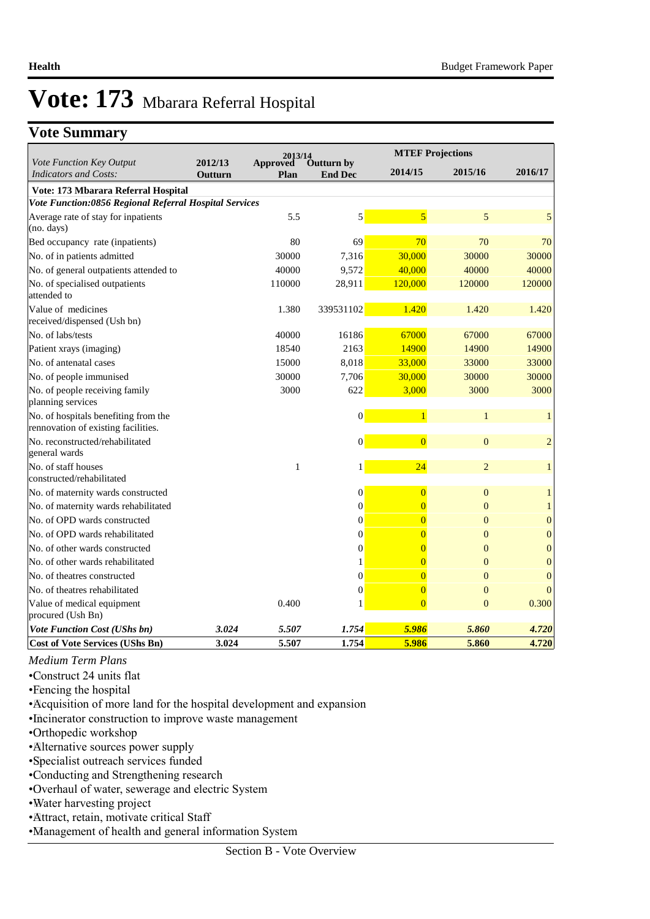## **Vote Summary**

|                                                                             |                    | 2013/14                 |                              |                | <b>MTEF Projections</b> |                  |
|-----------------------------------------------------------------------------|--------------------|-------------------------|------------------------------|----------------|-------------------------|------------------|
| Vote Function Key Output<br><b>Indicators and Costs:</b>                    | 2012/13<br>Outturn | <b>Approved</b><br>Plan | Outturn by<br><b>End Dec</b> | 2014/15        | 2015/16                 | 2016/17          |
| Vote: 173 Mbarara Referral Hospital                                         |                    |                         |                              |                |                         |                  |
| Vote Function:0856 Regional Referral Hospital Services                      |                    |                         |                              |                |                         |                  |
| Average rate of stay for inpatients<br>(no. days)                           |                    | 5.5                     | 5                            | 5              | 5                       | 5                |
| Bed occupancy rate (inpatients)                                             |                    | 80                      | 69                           | 70             | 70                      | 70               |
| No. of in patients admitted                                                 |                    | 30000                   | 7,316                        | 30,000         | 30000                   | 30000            |
| No. of general outpatients attended to                                      |                    | 40000                   | 9,572                        | 40,000         | 40000                   | 40000            |
| No. of specialised outpatients<br>attended to                               |                    | 110000                  | 28,911                       | 120,000        | 120000                  | 120000           |
| Value of medicines<br>received/dispensed (Ush bn)                           |                    | 1.380                   | 339531102                    | 1.420          | 1.420                   | 1.420            |
| No. of labs/tests                                                           |                    | 40000                   | 16186                        | 67000          | 67000                   | 67000            |
| Patient xrays (imaging)                                                     |                    | 18540                   | 2163                         | 14900          | 14900                   | 14900            |
| No. of antenatal cases                                                      |                    | 15000                   | 8,018                        | 33,000         | 33000                   | 33000            |
| No. of people immunised                                                     |                    | 30000                   | 7,706                        | 30,000         | 30000                   | 30000            |
| No. of people receiving family<br>planning services                         |                    | 3000                    | 622                          | 3,000          | 3000                    | 3000             |
| No. of hospitals benefiting from the<br>rennovation of existing facilities. |                    |                         | $\vert 0 \vert$              | $\mathbf{1}$   | $\mathbf{1}$            | $\mathbf{1}$     |
| No. reconstructed/rehabilitated<br>general wards                            |                    |                         | $\vert 0 \vert$              | $\overline{0}$ | $\boldsymbol{0}$        | $\overline{c}$   |
| No. of staff houses<br>constructed/rehabilitated                            |                    | 1                       | 1                            | 24             | $\overline{2}$          | $\mathbf{1}$     |
| No. of maternity wards constructed                                          |                    |                         | $\boldsymbol{0}$             | $\overline{0}$ | $\mathbf{0}$            | $\mathbf{1}$     |
| No. of maternity wards rehabilitated                                        |                    |                         | $\overline{0}$               | $\overline{0}$ | $\overline{0}$          | $\mathbf{1}$     |
| No. of OPD wards constructed                                                |                    |                         | $\overline{0}$               |                | $\overline{0}$          | $\boldsymbol{0}$ |
| No. of OPD wards rehabilitated                                              |                    |                         | $\overline{0}$               | $\overline{0}$ | $\overline{0}$          | $\mathbf{0}$     |
| No. of other wards constructed                                              |                    |                         | $\overline{0}$               | $\overline{0}$ | $\theta$                | $\boldsymbol{0}$ |
| No. of other wards rehabilitated                                            |                    |                         | 1                            | 0              | $\overline{0}$          | $\boldsymbol{0}$ |
| No. of theatres constructed                                                 |                    |                         | $\overline{0}$               | $\overline{0}$ | $\overline{0}$          | $\mathbf{0}$     |
| No. of theatres rehabilitated                                               |                    |                         | $\overline{0}$               | $\overline{0}$ | $\overline{0}$          | $\theta$         |
| Value of medical equipment<br>procured (Ush Bn)                             |                    | 0.400                   | 1                            | $\overline{0}$ | $\overline{0}$          | 0.300            |
| <b>Vote Function Cost (UShs bn)</b>                                         | 3.024              | 5.507                   | 1.754                        | 5.986          | 5.860                   | 4.720            |
| <b>Cost of Vote Services (UShs Bn)</b>                                      | 3.024              | 5.507                   | 1.754                        | 5.986          | 5.860                   | 4.720            |

*Medium Term Plans*

• Construct 24 units flat

• Fencing the hospital

• Acquisition of more land for the hospital development and expansion

• Incinerator construction to improve waste management

• Orthopedic workshop

• Alternative sources power supply

• Specialist outreach services funded

• Conducting and Strengthening research

• Overhaul of water, sewerage and electric System

• Water harvesting project

• Attract, retain, motivate critical Staff

• Management of health and general information System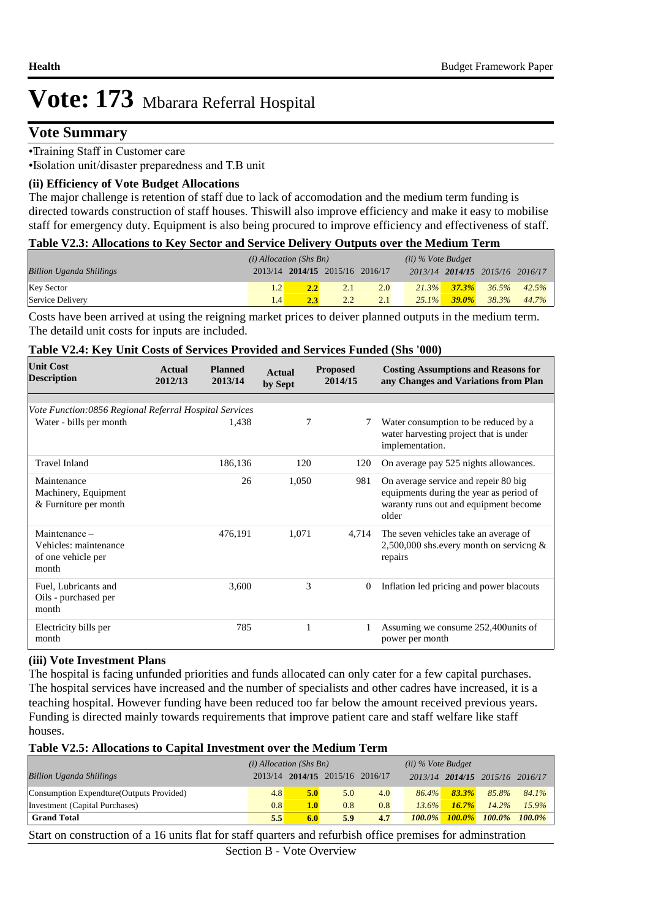## **Vote Summary**

• Training Staff in Customer care

• Isolation unit/disaster preparedness and T.B unit

#### **(ii) Efficiency of Vote Budget Allocations**

The major challenge is retention of staff due to lack of accomodation and the medium term funding is directed towards construction of staff houses. Thiswill also improve efficiency and make it easy to mobilise staff for emergency duty. Equipment is also being procured to improve efficiency and effectiveness of staff.

| Table V2.3: Allocations to Key Sector and Service Delivery Outputs over the Medium Term |  |  |  |  |
|-----------------------------------------------------------------------------------------|--|--|--|--|
|-----------------------------------------------------------------------------------------|--|--|--|--|

|                                 | $(i)$ Allocation (Shs Bn) |     |                                 |     | $(ii)$ % Vote Budget |                   |                                 |       |
|---------------------------------|---------------------------|-----|---------------------------------|-----|----------------------|-------------------|---------------------------------|-------|
| <b>Billion Uganda Shillings</b> |                           |     | 2013/14 2014/15 2015/16 2016/17 |     |                      |                   | 2013/14 2014/15 2015/16 2016/17 |       |
| Key Sector                      |                           |     | 2.1                             | 2.0 |                      | $21.3\%$ $37.3\%$ | 36.5%                           | 42.5% |
| Service Delivery                | 1.4                       | 2.3 | $2.2^{\circ}$                   | 2.1 | $25.1\%$             | $-39.0\%$         | 38.3%                           | 44.7% |

Costs have been arrived at using the reigning market prices to deiver planned outputs in the medium term. The detaild unit costs for inputs are included.

#### **Table V2.4: Key Unit Costs of Services Provided and Services Funded (Shs '000)**

| <b>Unit Cost</b><br><b>Description</b>                                | Actual<br>2012/13 | <b>Planned</b><br>2013/14 | <b>Actual</b><br>by Sept | <b>Proposed</b><br>2014/15 | <b>Costing Assumptions and Reasons for</b><br>any Changes and Variations from Plan                                                |
|-----------------------------------------------------------------------|-------------------|---------------------------|--------------------------|----------------------------|-----------------------------------------------------------------------------------------------------------------------------------|
|                                                                       |                   |                           |                          |                            |                                                                                                                                   |
| Vote Function:0856 Regional Referral Hospital Services                |                   |                           |                          |                            |                                                                                                                                   |
| Water - bills per month                                               |                   | 1,438                     | 7                        | 7                          | Water consumption to be reduced by a<br>water harvesting project that is under<br>implementation.                                 |
| <b>Travel Inland</b>                                                  |                   | 186,136                   | 120                      | 120                        | On average pay 525 nights allowances.                                                                                             |
| Maintenance<br>Machinery, Equipment<br>& Furniture per month          |                   | 26                        | 1,050                    | 981                        | On average service and repeir 80 big<br>equipments during the year as period of<br>waranty runs out and equipment become<br>older |
| Maintenance -<br>Vehicles: maintenance<br>of one vehicle per<br>month |                   | 476,191                   | 1,071                    | 4,714                      | The seven vehicles take an average of<br>2,500,000 shs.every month on servicng $\&$<br>repairs                                    |
| Fuel, Lubricants and<br>Oils - purchased per<br>month                 |                   | 3,600                     | 3                        | $\mathbf{0}$               | Inflation led pricing and power blacouts                                                                                          |
| Electricity bills per<br>month                                        |                   | 785                       |                          | 1                          | Assuming we consume 252,400 units of<br>power per month                                                                           |

#### **(iii) Vote Investment Plans**

The hospital is facing unfunded priorities and funds allocated can only cater for a few capital purchases. The hospital services have increased and the number of specialists and other cadres have increased, it is a teaching hospital. However funding have been reduced too far below the amount received previous years. Funding is directed mainly towards requirements that improve patient care and staff welfare like staff houses.

#### **Table V2.5: Allocations to Capital Investment over the Medium Term**

|                                           | $(i)$ Allocation (Shs Bn) |                  |                                 |     | $(ii)$ % Vote Budget |           |                                 |           |
|-------------------------------------------|---------------------------|------------------|---------------------------------|-----|----------------------|-----------|---------------------------------|-----------|
| <b>Billion Uganda Shillings</b>           |                           |                  | 2013/14 2014/15 2015/16 2016/17 |     |                      |           | 2013/14 2014/15 2015/16 2016/17 |           |
| Consumption Expendture (Outputs Provided) | 4.8                       | 5.0              | 5.0                             | 4.0 | $86.4\%$             | $83.3\%$  | 85.8%                           | 84.1%     |
| Investment (Capital Purchases)            | 0.8                       | 1.0 <sub>l</sub> | 0.8                             | 0.8 | $13.6\%$             | 16.7%     | $14.2\%$                        | $15.9\%$  |
| <b>Grand Total</b>                        | 5.5                       | 6.0              | 5.9                             | 4.7 | $100.0\%$            | $100.0\%$ | $100.0\%$                       | $100.0\%$ |

Start on construction of a 16 units flat for staff quarters and refurbish office premises for adminstration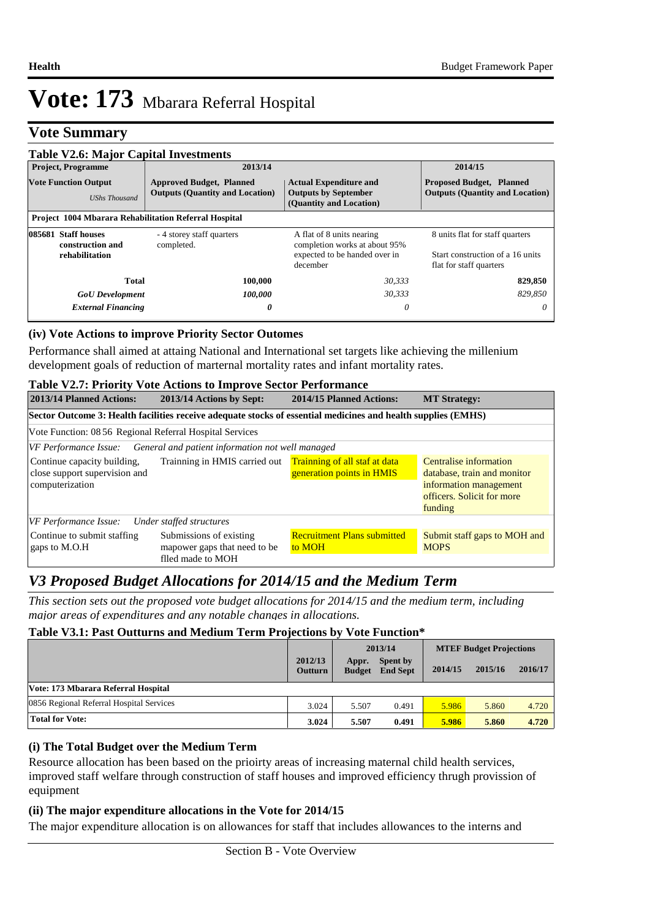## **Vote Summary**

| <b>Table V2.6: Major Capital Investments</b>                                                                                     |                                         |                                                                                                         |                                                                                                |  |  |  |  |  |  |  |
|----------------------------------------------------------------------------------------------------------------------------------|-----------------------------------------|---------------------------------------------------------------------------------------------------------|------------------------------------------------------------------------------------------------|--|--|--|--|--|--|--|
| <b>Project, Programme</b>                                                                                                        | 2013/14                                 |                                                                                                         | 2014/15                                                                                        |  |  |  |  |  |  |  |
| <b>Vote Function Output</b><br><b>Approved Budget, Planned</b><br><b>Outputs (Quantity and Location)</b><br><b>UShs Thousand</b> |                                         | <b>Actual Expenditure and</b><br><b>Outputs by September</b><br>(Quantity and Location)                 | <b>Proposed Budget, Planned</b><br><b>Outputs (Quantity and Location)</b>                      |  |  |  |  |  |  |  |
| <b>Project 1004 Mbarara Rehabilitation Referral Hospital</b>                                                                     |                                         |                                                                                                         |                                                                                                |  |  |  |  |  |  |  |
| 085681 Staff houses<br>construction and<br>rehabilitation                                                                        | - 4 storey staff quarters<br>completed. | A flat of 8 units nearing<br>completion works at about 95%<br>expected to be handed over in<br>december | 8 units flat for staff quarters<br>Start construction of a 16 units<br>flat for staff quarters |  |  |  |  |  |  |  |
| Total                                                                                                                            | 100,000                                 | 30,333                                                                                                  | 829,850                                                                                        |  |  |  |  |  |  |  |
| <b>GoU</b> Development                                                                                                           | 100,000                                 | 30,333                                                                                                  | 829.850                                                                                        |  |  |  |  |  |  |  |
| <b>External Financing</b>                                                                                                        | 0                                       | 0                                                                                                       | 0                                                                                              |  |  |  |  |  |  |  |

### **(iv) Vote Actions to improve Priority Sector Outomes**

Performance shall aimed at attaing National and International set targets like achieving the millenium development goals of reduction of marternal mortality rates and infant mortality rates.

#### **Table V2.7: Priority Vote Actions to Improve Sector Performance**

| 2013/14 Planned Actions:                                                                                      | 2013/14 Actions by Sept:                                                     | 2014/15 Planned Actions:                                   | <b>MT Strategy:</b>                                                                                                      |  |  |  |
|---------------------------------------------------------------------------------------------------------------|------------------------------------------------------------------------------|------------------------------------------------------------|--------------------------------------------------------------------------------------------------------------------------|--|--|--|
| Sector Outcome 3: Health facilities receive adequate stocks of essential medicines and health supplies (EMHS) |                                                                              |                                                            |                                                                                                                          |  |  |  |
| Vote Function: 08 56 Regional Referral Hospital Services                                                      |                                                                              |                                                            |                                                                                                                          |  |  |  |
| VF Performance Issue:                                                                                         | General and patient information not well managed                             |                                                            |                                                                                                                          |  |  |  |
| Continue capacity building,<br>close support supervision and<br>computerization                               | Trainning in HMIS carried out                                                | Trainning of all staf at data<br>generation points in HMIS | Centralise information<br>database, train and monitor<br>information management<br>officers. Solicit for more<br>funding |  |  |  |
| VF Performance Issue:                                                                                         | Under staffed structures                                                     |                                                            |                                                                                                                          |  |  |  |
| Continue to submit staffing<br>gaps to M.O.H                                                                  | Submissions of existing<br>mapower gaps that need to be<br>flled made to MOH | <b>Recruitment Plans submitted</b><br>to MOH               | Submit staff gaps to MOH and<br><b>MOPS</b>                                                                              |  |  |  |

## *V3 Proposed Budget Allocations for 2014/15 and the Medium Term*

*This section sets out the proposed vote budget allocations for 2014/15 and the medium term, including major areas of expenditures and any notable changes in allocations.* 

### **Table V3.1: Past Outturns and Medium Term Projections by Vote Function\***

|                                          |                           | 2013/14                |                             | <b>MTEF Budget Projections</b> |         |         |
|------------------------------------------|---------------------------|------------------------|-----------------------------|--------------------------------|---------|---------|
|                                          | 2012/13<br><b>Outturn</b> | Appr.<br><b>Budget</b> | Spent by<br><b>End Sept</b> | 2014/15                        | 2015/16 | 2016/17 |
| Vote: 173 Mbarara Referral Hospital      |                           |                        |                             |                                |         |         |
| 0856 Regional Referral Hospital Services | 3.024                     | 5.507                  | 0.491                       | 5.986                          | 5.860   | 4.720   |
| <b>Total for Vote:</b>                   | 3.024                     | 5.507                  | 0.491                       | 5.986                          | 5.860   | 4.720   |

#### **(i) The Total Budget over the Medium Term**

Resource allocation has been based on the prioirty areas of increasing maternal child health services, improved staff welfare through construction of staff houses and improved efficiency thrugh provission of equipment

#### **(ii) The major expenditure allocations in the Vote for 2014/15**

The major expenditure allocation is on allowances for staff that includes allowances to the interns and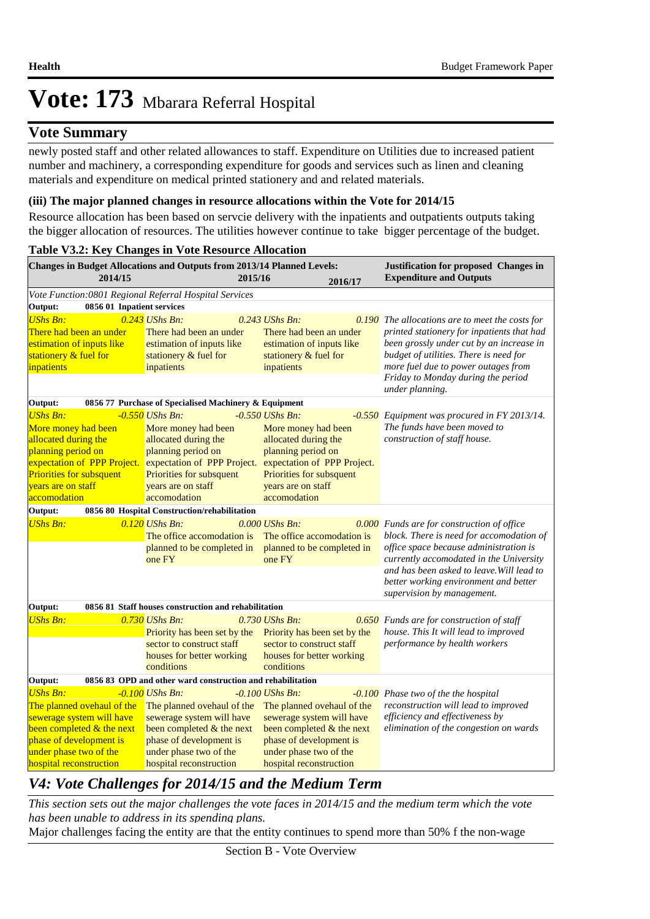## **Vote Summary**

newly posted staff and other related allowances to staff. Expenditure on Utilities due to increased patient number and machinery, a corresponding expenditure for goods and services such as linen and cleaning materials and expenditure on medical printed stationery and and related materials.

### **(iii) The major planned changes in resource allocations within the Vote for 2014/15**

Resource allocation has been based on servcie delivery with the inpatients and outpatients outputs taking the bigger allocation of resources. The utilities however continue to take bigger percentage of the budget.

#### *V4: Vote Challenges for 2014/15 and the Medium Term* **Table V3.2: Key Changes in Vote Resource Allocation 2016/17 2015/16 Justification for proposed Changes in 2014/15 Expenditure and Outputs Changes in Budget Allocations and Outputs from 2013/14 Planned Levels:** *Vote Function:0801 Regional Referral Hospital Services* **Output: 0856 01 Inpatient services** *UShs Bn: 0.243 UShs Bn: 0.243 UShs Bn: 0.190* There had been an under estimation of inputs like stationery & fuel for inpatients There had been an under estimation of inputs like stationery & fuel for inpatients There had been an under estimation of inputs like stationery & fuel for inpatients **0.190** The allocations are to meet the costs for *printed stationery for inpatients that had been grossly under cut by an increase in budget of utilities. There is need for more fuel due to power outages from Friday to Monday during the period under planning.* **Output: 0856 77 Purchase of Specialised Machinery & Equipment** *UShs Bn: -0.550 UShs Bn: -0.550 UShs Bn: -0.550* More money had been allocated during the planning period on expectation of PPP Project. Priorities for subsquent years are on staff accomodation More money had been allocated during the planning period on expectation of PPP Project. expectation of PPP Project. Priorities for subsquent years are on staff accomodation More money had been allocated during the planning period on Priorities for subsquent years are on staff accomodation *Equipment was procured in FY 2013/14. The funds have been moved to construction of staff house.* **Output: 0856 80 Hospital Construction/rehabilitation**  *UShs Bn: 0.120 UShs Bn: 0.000 UShs Bn: 0.000* The office accomodation is The office accomodation is planned to be completed in one FY planned to be completed in one FY *Funds are for construction of office block. There is need for accomodation of office space because administration is currently accomodated in the University and has been asked to leave.Will lead to better working environment and better supervision by management.* **Output: 0856 81 Staff houses construction and rehabilitation** *UShs Bn: 0.730 UShs Bn: 0.730 UShs Bn: 0.730 UShs Bn:* Priority has been set by the Priority has been set by the sector to construct staff houses for better working conditions sector to construct staff houses for better working conditions *Funds are for construction of staff house. This It will lead to improved performance by health workers* **Output: 0856 83 OPD and other ward construction and rehabilitation** *UShs Bn: -0.100 UShs Bn: -0.100 UShs Bn: -0.100* The planned ovehaul of the sewerage system will have been completed & the next phase of development is under phase two of the hospital reconstruction The planned ovehaul of the The planned ovehaul of the sewerage system will have been completed & the next phase of development is under phase two of the hospital reconstruction sewerage system will have been completed & the next phase of development is under phase two of the hospital reconstruction *Phase two of the the hospital reconstruction will lead to improved efficiency and effectiveness by elimination of the congestion on wards*

*This section sets out the major challenges the vote faces in 2014/15 and the medium term which the vote has been unable to address in its spending plans.*

Major challenges facing the entity are that the entity continues to spend more than 50% f the non-wage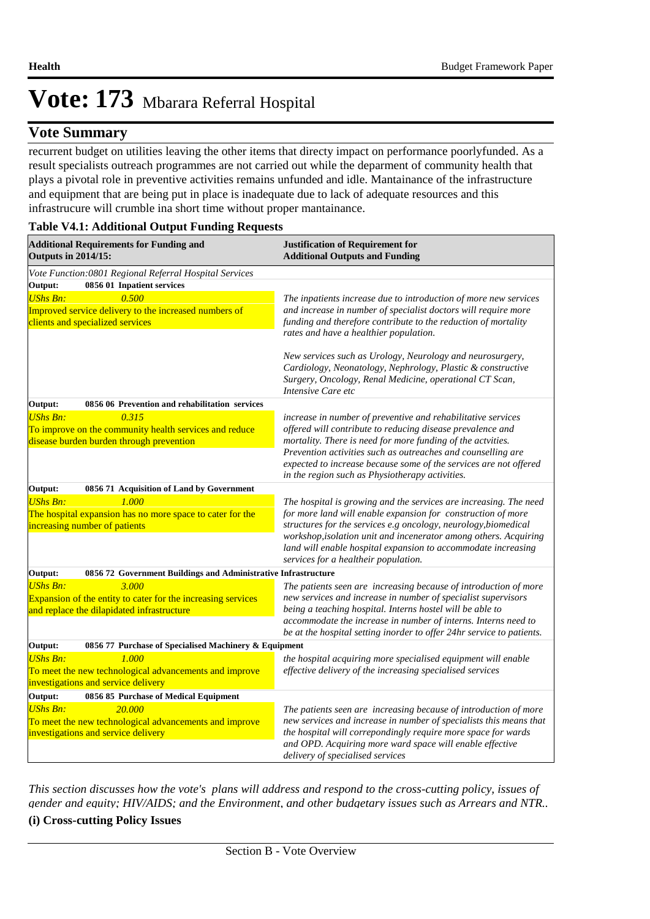## **Vote Summary**

recurrent budget on utilities leaving the other items that directy impact on performance poorlyfunded. As a result specialists outreach programmes are not carried out while the deparment of community health that plays a pivotal role in preventive activities remains unfunded and idle. Mantainance of the infrastructure and equipment that are being put in place is inadequate due to lack of adequate resources and this infrastrucure will crumble ina short time without proper mantainance.

### **Table V4.1: Additional Output Funding Requests**

| <b>Additional Requirements for Funding and</b><br><b>Outputs in 2014/15:</b>                                                           | <b>Justification of Requirement for</b><br><b>Additional Outputs and Funding</b>                                                                                                                                                                                                                                                                                                  |  |  |
|----------------------------------------------------------------------------------------------------------------------------------------|-----------------------------------------------------------------------------------------------------------------------------------------------------------------------------------------------------------------------------------------------------------------------------------------------------------------------------------------------------------------------------------|--|--|
| Vote Function:0801 Regional Referral Hospital Services                                                                                 |                                                                                                                                                                                                                                                                                                                                                                                   |  |  |
| 0856 01 Inpatient services<br>Output:                                                                                                  |                                                                                                                                                                                                                                                                                                                                                                                   |  |  |
| 0.500<br><b>UShs Bn:</b><br>Improved service delivery to the increased numbers of<br>clients and specialized services                  | The inpatients increase due to introduction of more new services<br>and increase in number of specialist doctors will require more<br>funding and therefore contribute to the reduction of mortality<br>rates and have a healthier population.                                                                                                                                    |  |  |
|                                                                                                                                        | New services such as Urology, Neurology and neurosurgery,<br>Cardiology, Neonatology, Nephrology, Plastic & constructive<br>Surgery, Oncology, Renal Medicine, operational CT Scan,<br>Intensive Care etc                                                                                                                                                                         |  |  |
| Output:<br>0856 06 Prevention and rehabilitation services                                                                              |                                                                                                                                                                                                                                                                                                                                                                                   |  |  |
| <b>UShs Bn:</b><br>0.315<br>To improve on the community health services and reduce<br>disease burden burden through prevention         | increase in number of preventive and rehabilitative services<br>offered will contribute to reducing disease prevalence and<br>mortality. There is need for more funding of the actvities.<br>Prevention activities such as outreaches and counselling are<br>expected to increase because some of the services are not offered                                                    |  |  |
|                                                                                                                                        | in the region such as Physiotherapy activities.                                                                                                                                                                                                                                                                                                                                   |  |  |
| Output:<br>0856 71 Acquisition of Land by Government                                                                                   |                                                                                                                                                                                                                                                                                                                                                                                   |  |  |
| <b>UShs Bn:</b><br>1.000<br>The hospital expansion has no more space to cater for the<br>increasing number of patients                 | The hospital is growing and the services are increasing. The need<br>for more land will enable expansion for construction of more<br>structures for the services e.g oncology, neurology, biomedical<br>workshop, isolation unit and incenerator among others. Acquiring<br>land will enable hospital expansion to accommodate increasing<br>services for a healtheir population. |  |  |
| Output:<br>0856 72 Government Buildings and Administrative Infrastructure                                                              |                                                                                                                                                                                                                                                                                                                                                                                   |  |  |
| <b>UShs Bn:</b><br>3.000<br>Expansion of the entity to cater for the increasing services<br>and replace the dilapidated infrastructure | The patients seen are increasing because of introduction of more<br>new services and increase in number of specialist supervisors<br>being a teaching hospital. Interns hostel will be able to<br>accommodate the increase in number of interns. Interns need to<br>be at the hospital setting inorder to offer 24hr service to patients.                                         |  |  |
| Output:<br>0856 77 Purchase of Specialised Machinery & Equipment                                                                       |                                                                                                                                                                                                                                                                                                                                                                                   |  |  |
| <b>UShs Bn:</b><br>1.000<br>To meet the new technological advancements and improve<br>investigations and service delivery              | the hospital acquiring more specialised equipment will enable<br>effective delivery of the increasing specialised services                                                                                                                                                                                                                                                        |  |  |
| Output:<br>0856 85 Purchase of Medical Equipment                                                                                       |                                                                                                                                                                                                                                                                                                                                                                                   |  |  |
| 20.000<br><b>UShs Bn:</b><br>To meet the new technological advancements and improve<br>investigations and service delivery             | The patients seen are increasing because of introduction of more<br>new services and increase in number of specialists this means that<br>the hospital will correpondingly require more space for wards<br>and OPD. Acquiring more ward space will enable effective<br>delivery of specialised services                                                                           |  |  |

*This section discusses how the vote's plans will address and respond to the cross-cutting policy, issues of gender and equity; HIV/AIDS; and the Environment, and other budgetary issues such as Arrears and NTR..* 

#### **(i) Cross-cutting Policy Issues**